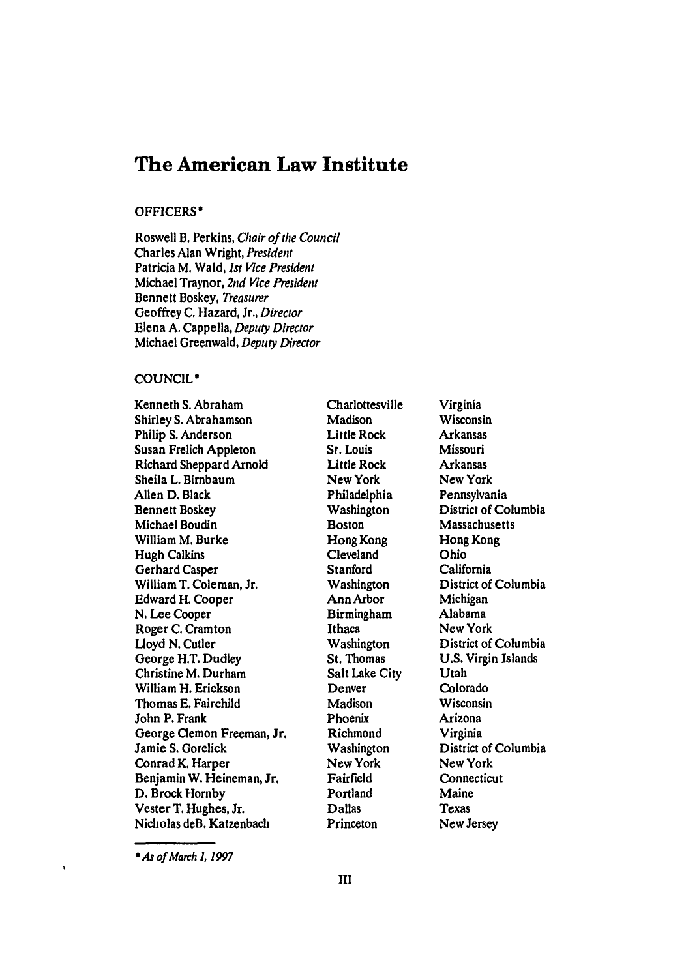## **The American Law Institute**

#### **OFFICERS\***

Roswell B. Perkins, Chair of the Council Charles Alan Wright, *President* Patricia M. Wald, *Ist Vice President* Michael Traynor, *2nd Vice President* Bennett Boskey, *Treasurer* Geoffrey **C.** Hazard, Jr., *Director* Elena A. Cappella, *Deputy Director* Michael Greenwald, *Deputy Director*

#### COUNCIL\*

Kenneth **S.** Abraham Shirley **S.** Abrahamson Philip **S.** Anderson Susan Frelich Appleton Richard Sheppard Arnold Sheila L. Birnbaum Allen D. Black Bennett Boskey Michael Boudin William M. Burke Hugh Calkins Gerhard Casper William T. Coleman, Jr. Edward H. Cooper **N.** Lee Cooper Roger **C.** Cramton Lloyd N. Cutler George H.T. Dudley Christine M. Durham William H. Erickson Thomas E. Fairchild John P. Frank George Clemon Freeman, Jr. Jamie **S.** Goreick Conrad K. Harper Benjamin W. Heineman, Jr. D. Brock Hornby Vester T. Hughes, Jr. Nicholas deB. Katzenbach

**Charlottesville Madison** Little Rock St. Louis Little Rock New York Philadelphia Washington **Boston** Hong Kong Cleveland **Stanford** Washington Ann Arbor Birmingham Ithaca Washington St. Thomas Salt Lake City Denver Madison Phoenix Richmond Washington New York Fairfield Portland Dallas Princeton

Virginia **Wisconsin** Arkansas Missouri Arkansas New York Pennsylvania District of Columbia **Massachusetts** Hong Kong Ohio California District of Columbia Michigan Alabama New York District of Columbia U.S. Virgin Islands Utah Colorado Wisconsin Arizona Virginia District of Columbia New York **Connecticut** Maine Texas New Jersey

*\*As* of *March ), 1997*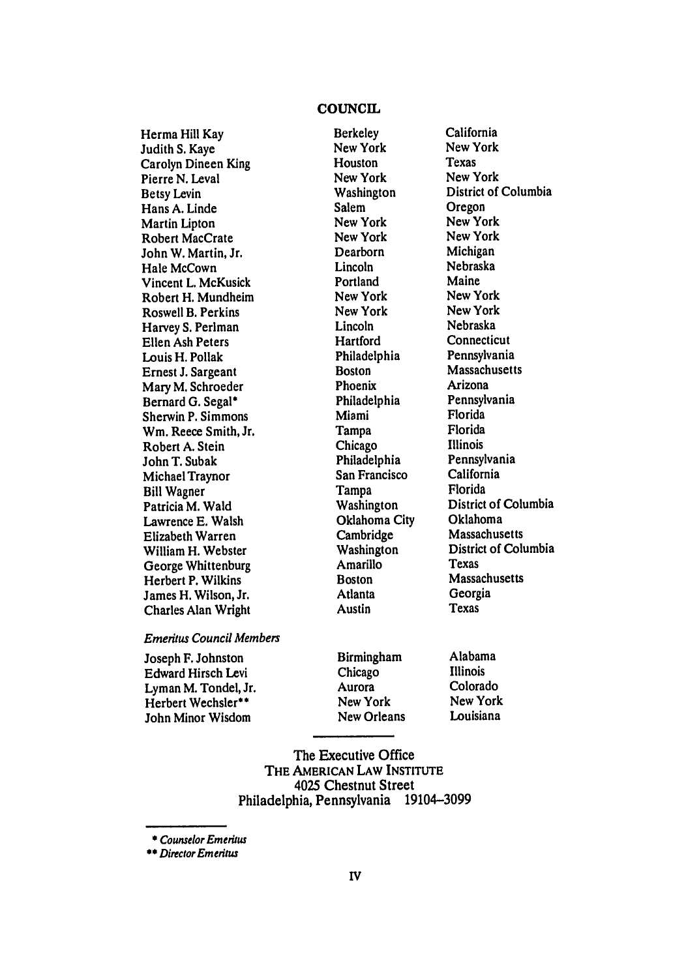### **COUNCIL**

**Berkeley** 

Herma Hill Kay Judith **S.** Kaye Carolyn Dineen King Pierre N. Leval Betsy Levin Hans A. Linde Martin Lipton Robert MacCrate John W. Martin, Jr. Hale McCown Vincent L. McKusick Robert H. Mundheim Roswell B. Perkins Harvey S. Perlman Ellen Ash Peters Louis H. Pollak Ernest J. Sargeant Mary M. Schroeder Bernard G. Segal\* Sherwin P. Simmons Wm. Reece Smith, Jr. Robert A. Stein John T. Subak Michael Traynor Bill Wagner Patricia M. Wald Lawrence E. Walsh Elizabeth Warren William H. Webster George Whittenburg Herbert P. Wilkins James H. Wilson, Jr. Charles Alan Wright

New York Houston New York Washington Salem New York New York Dearborn Lincoln Portland New York New York Lincoln **Hartford** Philadelphia Boston Phoenix Philadelphia Miami Tampa Chicago Philadelphia San Francisco Tampa Washington Oklahoma City Cambridge Washington Amarillo **Boston** Atlanta Austin

California New York Texas New York District of Columbia Oregon New York New York Michigan Nebraska Maine New York New York Nebraska **Connecticut** Pennsylvania Massachusetts Arizona Pennsylvania Florida Florida Illinois Pennsylvania California Florida District of Columbia Oklahoma Massachusetts District of Columbia Texas **Massachusetts** Georgia Texas

#### *Emeritus* Council *Members*

Joseph F. Johnston Edward Hirsch Levi Lyman M. Tondel, Jr. Herbert Wechsler\*\* John Minor Wisdom

Birmingham Chicago Aurora New York New Orleans

Alabama Illinois Colorado New York Louisiana

The Executive Office THE **AMERICAN** LAW **INSTITUTE** 4025 Chestnut Street Philadelphia, Pennsylvania 19104-3099

Counselor Emeritus

*\*\** Director Emeritus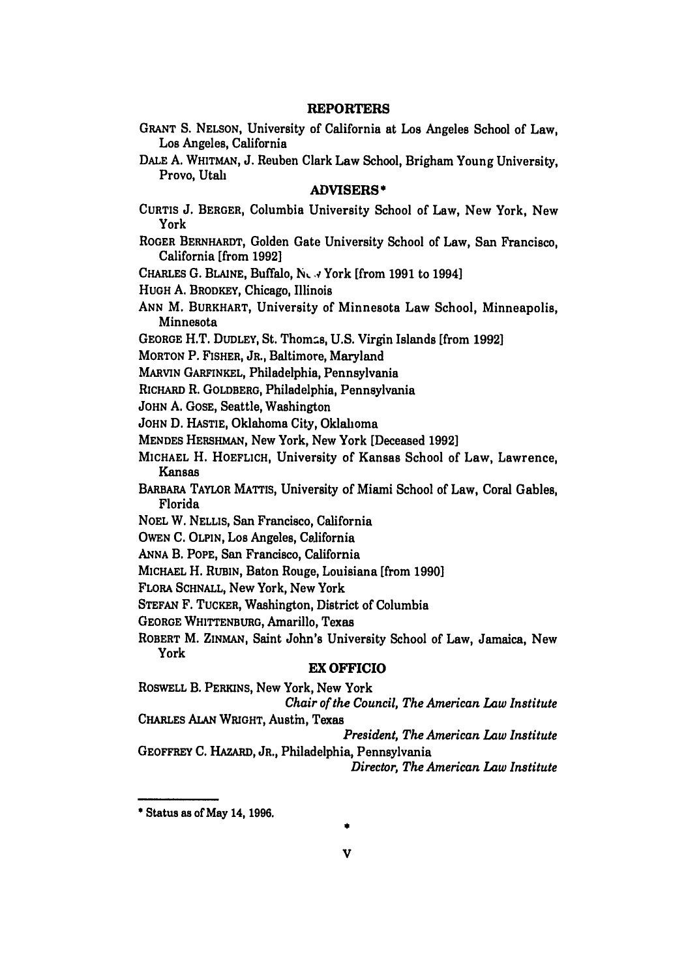#### **REPORTERS**

**GRANT S. NELSON,** University of California at **Los** Angeles School of Law, Los Angeles, California

**DALE A.** WHITMAN, **J.** Reuben Clark Law School, Brigham Young University, Provo, Utah

#### ADVISERS **\***

- **CURTIS J.** BERGER, Columbia University School of Law, New York, New York
- ROGER BERNHARDT, Golden Gate University School of Law, San Francisco, California [from **1992]**
- CHARLES **G.** BLAINE, Buffalo, **N. .,,** York [from **1991** to 1994]

**HUGH A.** BRODKEY, Chicago, Illinois

- **ANN** M. BURKHART, University of Minnesota Law School, Minneapolis, Minnesota
- **GEORGE** H.T. **DUDLEY,** St. Thomas, **U.S.** Virgin Islands [from **19921**
- MORTON P. FISHER, JR., Baltimore, Maryland
- MARWIN GARFINKEL, Philadelphia, Pennsylvania
- RICHARD R. GOLDBERG, Philadelphia, Pennsylvania

JOHN A. GOSE, Seattle, Washington

- **JOHN** D. HASTIE, Oklahoma City, Oklahoma
- MENDES HERSHMAN, New York, New York [Deceased **1992]**
- MICHAEL H. HOEFLICH, University of Kansas School of Law, Lawrence, Kansas
- BARBARA TAYLOR **MATTIS,** University of Miami School of Law, Coral Gables, Florida
- NOEL W. NELLIS, San Francisco, California
- **OWEN C. OLPIN,** Los Angeles, California
- ANNA B. POPE, San Francisco, California
- **MICHAEL** H. RUBIN, Baton Rouge, Louisiana [from **1990]**

FLORA **SCHNALL,** New York, New York

STEFAN F. TUCKER, Washington, District of Columbia

**GEORGE** WHITTENBURG, Amarillo, Texas

ROBERT M. ZINMAN, Saint John's University School of Law, Jamaica, New York

#### EX OFFICIO

ROSWELL B. PERKINS, New York, New York

*Chair of the Council, The American Law Institute* CHARLES **ALAN WRIGHT,** Austin, Texas

*President, The American Law Institute* GEOFFREY **C.** HAzARD, JR., Philadelphia, Pennsylvania *Director, The American Law Institute*

\* Status as of May 14, **1996.**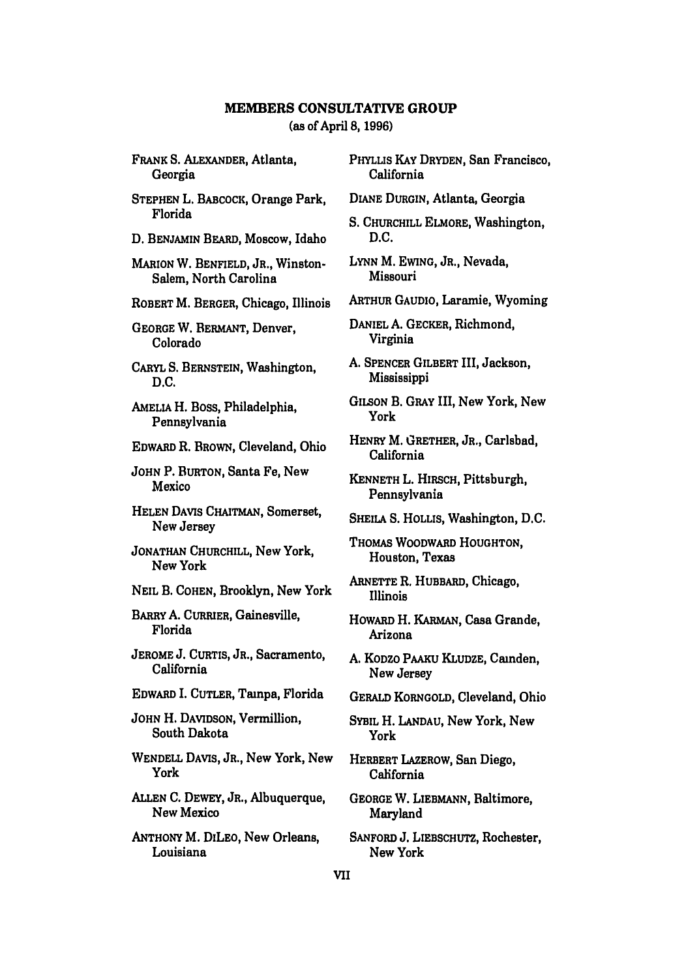# **MEMBERS CONSULTATIVE GROUP**

(as of April **8, 1996)**

FRANK **S.** ALEXANDER, Atlanta, Georgia

STEPHEN L. BABCOCK, Orange Park, Florida

D. BENJAMIN BEARD, Moscow, Idaho

MARION W. BENFIELD, JR., Winston-Salem, North Carolina

ROBERT M. BERGER, Chicago, Illinois

GEORGE W. BERMANT, Denver, Colorado

CARYL **S. BERNSTEIN,** Washington, **D.C.**

AMELIA H. Boss, Philadelphia, Pennsylvania

EDWARD R. BROWN, Cleveland, Ohio

**JOHN** P. BURTON, Santa Fe, New Mexico

HELEN DAVIS CHAiTMAN, Somerset, New Jersey

JONATHAN CHURCHILL, New York, New York

NEIL B. COHEN, Brooklyn, New York

**BARRY A.** CURRIER, Gainesville, Florida

**JEROME J. CURTIS,** JR., Sacramento, California

EDWARD I. CUTLER, Tampa, Florida

**JOHN** H. DAVIDSON, Vermillion, South Dakota

**WENDELL** DAVIS, JR., New York, New York

**ALLEN C.** DEWEY, JR., Albuquerque, New Mexico

ANTHONY M. DILEO, New Orleans, Louisiana

PHYLLIS KAY DRYDEN, San Francisco, California

DIANE DURGIN, Atlanta, Georgia

S. CHURCHILL ELMORE, Washington, D.C.

LYNN M. EWING, JR., Nevada, Missouri

ARTHUR GAUDIO, Laramie, Wyoming

DANIEL **A.** GECKER, Richmond, Virginia

**A.** SPENCER GILBERT III, Jackson, Mississippi

GILSON B. GRAY III, New York, New York

HENRY M. GRETHER, JR., Carlsbad, California

KENNETH L. HIRSCH, Pittsburgh, Pennsylvania

SHEILA S. **HOLLIS,** Washington, D.C.

THOMAS WOODWARD HOUGHTON, Houston, Texas

ARNETTE R. HUBBARD, Chicago, Illinois

HowARD H. KARMAN, Casa Grande, Arizona

A. KODZO PAAKU KLUDZE, Camden, New Jersey

GERALD KORNGOLD, Cleveland, Ohio

SYBIL H. LANDAU, New York, New York

HERBERT LAZEROW, San Diego, California

GEORGE W. **LIEBMANN,** Baltimore, Maryland

SANFORD **J.** LIEBSCHUTZ, Rochester, New York

VII